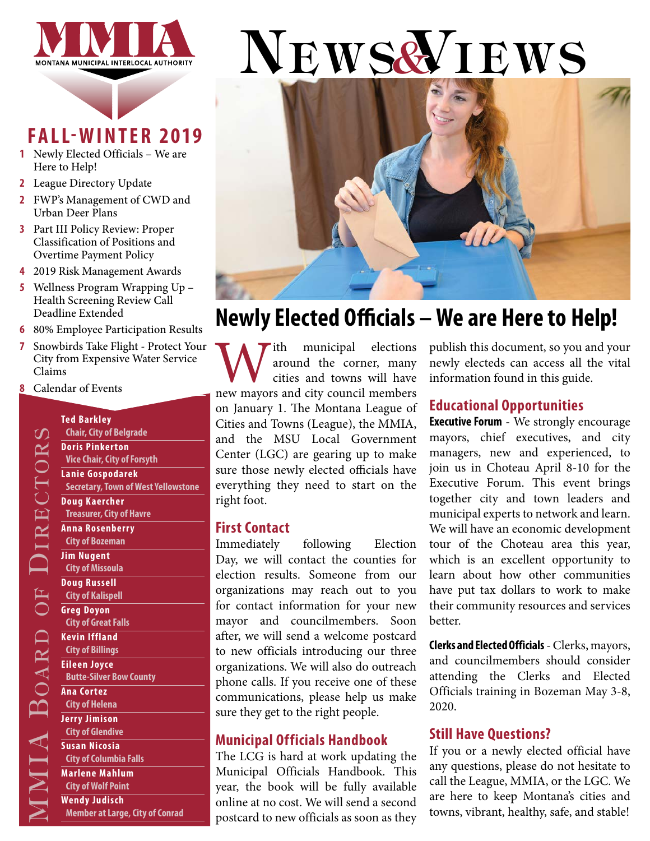

### **FALL-WINTER 2019**

- **1** Newly Elected Officials We are Here to Help!
- **2** [League Directory Update](#page-1-0)
- **2** [FWP's Management of CWD and](#page-1-0)  [Urban Deer Plans](#page-1-0)
- **3** [Part III Policy Review: Proper](#page-2-0)  [Classification of Positions and](#page-2-0)  [Overtime Payment Policy](#page-2-0)
- **4** [2019 Risk Management Awards](#page-3-0)
- **5** [Wellness Program Wrapping Up](#page-4-0)  [Health Screening Review Call](#page-4-0)  [Deadline Extended](#page-4-0)
- **6** [80% Employee Participation Results](#page-5-0)
- **7** [Snowbirds Take Flight Protect Your](#page-6-0)  [City from Expensive Water Service](#page-6-0)  [Claims](#page-6-0)
- **8** [Calendar of Events](#page-7-0)

#### **Ted Barkley Chair, City of Belgrade Doris Pinkerton Vice Chair, City of Forsyth Lanie Gospodarek Secretary, Town of West Yellowstone**

#### **Doug Kaercher Treasurer, City of Havre Anna Rosenberry**

- **City of Bozeman Jim Nugent**
- **City of Missoula Doug Russell City of Kalispell Greg Doyon**
- **City of Great Falls Kevin Iffland**
- **City of Billings Eileen Joyce**

**Butte-Silver Bow County**

#### **Ana Cortez**

MMIA B

o

ARD OF

 $\Box$ 

ir ec t ors

 $\Omega$ 

**City of Helena Jerry Jimison City of Glendive Susan Nicosia City of Columbia Falls Marlene Mahlum City of Wolf Point**

**Wendy Judisch Member at Large, City of Conrad**

# NEWS& IEWS



### **Newly Elected Officials – We are Here to Help!**

With municipal elections<br>
around the corner, many<br>
new mayors and city council members around the corner, many cities and towns will have on January 1. The Montana League of Cities and Towns (League), the MMIA, and the MSU Local Government Center (LGC) are gearing up to make sure those newly elected officials have everything they need to start on the right foot.

#### **First Contact**

Immediately following Election Day, we will contact the counties for election results. Someone from our organizations may reach out to you for contact information for your new mayor and councilmembers. Soon after, we will send a welcome postcard to new officials introducing our three organizations. We will also do outreach phone calls. If you receive one of these communications, please help us make sure they get to the right people.

#### **Municipal Officials Handbook**

The LCG is hard at work updating the Municipal Officials Handbook. This year, the book will be fully available online at no cost. We will send a second postcard to new officials as soon as they publish this document, so you and your newly electeds can access all the vital information found in this guide.

#### **Educational Opportunities**

**Executive Forum** - We strongly encourage mayors, chief executives, and city managers, new and experienced, to join us in Choteau April 8-10 for the Executive Forum. This event brings together city and town leaders and municipal experts to network and learn. We will have an economic development tour of the Choteau area this year, which is an excellent opportunity to learn about how other communities have put tax dollars to work to make their community resources and services better.

**Clerks and Elected Officials** - Clerks, mayors, and councilmembers should consider attending the Clerks and Elected Officials training in Bozeman May 3-8, 2020.

#### **Still Have Questions?**

If you or a newly elected official have any questions, please do not hesitate to call the League, MMIA, or the LGC. We are here to keep Montana's cities and towns, vibrant, healthy, safe, and stable!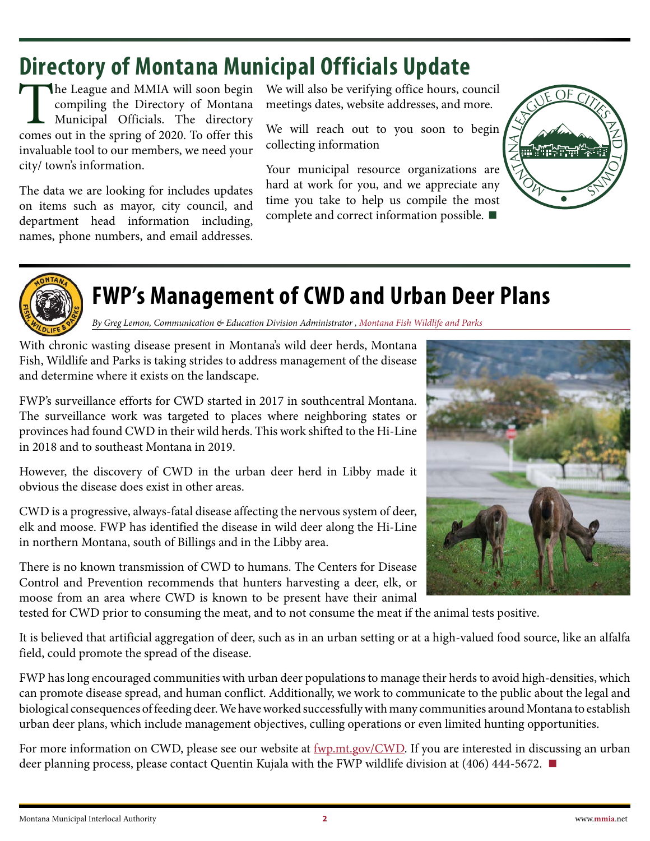### <span id="page-1-0"></span>**Directory of Montana Municipal Officials Update**

The League and MMIA will soon begin<br>
compiling the Directory of Montana<br>
Municipal Officials. The directory<br>
comes out in the spring of 2020. To offer this compiling the Directory of Montana Municipal Officials. The directory invaluable tool to our members, we need your city/ town's information.

The data we are looking for includes updates on items such as mayor, city council, and department head information including, names, phone numbers, and email addresses. We will also be verifying office hours, council meetings dates, website addresses, and more.

We will reach out to you soon to begin collecting information

Your municipal resource organizations are hard at work for you, and we appreciate any time you take to help us compile the most complete and correct information possible. **■**





### **FWP's Management of CWD and Urban Deer Plans**

*By Greg Lemon, Communication & Education Division Administrator , Montana Fish Wildlife and Parks*

With chronic wasting disease present in Montana's wild deer herds, Montana Fish, Wildlife and Parks is taking strides to address management of the disease and determine where it exists on the landscape.

FWP's surveillance efforts for CWD started in 2017 in southcentral Montana. The surveillance work was targeted to places where neighboring states or provinces had found CWD in their wild herds. This work shifted to the Hi-Line in 2018 and to southeast Montana in 2019.

However, the discovery of CWD in the urban deer herd in Libby made it obvious the disease does exist in other areas.

CWD is a progressive, always-fatal disease affecting the nervous system of deer, elk and moose. FWP has identified the disease in wild deer along the Hi-Line in northern Montana, south of Billings and in the Libby area.

There is no known transmission of CWD to humans. The Centers for Disease Control and Prevention recommends that hunters harvesting a deer, elk, or moose from an area where CWD is known to be present have their animal



tested for CWD prior to consuming the meat, and to not consume the meat if the animal tests positive.

It is believed that artificial aggregation of deer, such as in an urban setting or at a high-valued food source, like an alfalfa field, could promote the spread of the disease.

FWP has long encouraged communities with urban deer populations to manage their herds to avoid high-densities, which can promote disease spread, and human conflict. Additionally, we work to communicate to the public about the legal and biological consequences of feeding deer. We have worked successfully with many communities around Montana to establish urban deer plans, which include management objectives, culling operations or even limited hunting opportunities.

For more information on CWD, please see our website at  $fwp,mt.gov/CWD$ . If you are interested in discussing an urban deer planning process, please contact Quentin Kujala with the FWP wildlife division at (406) 444-5672. **■**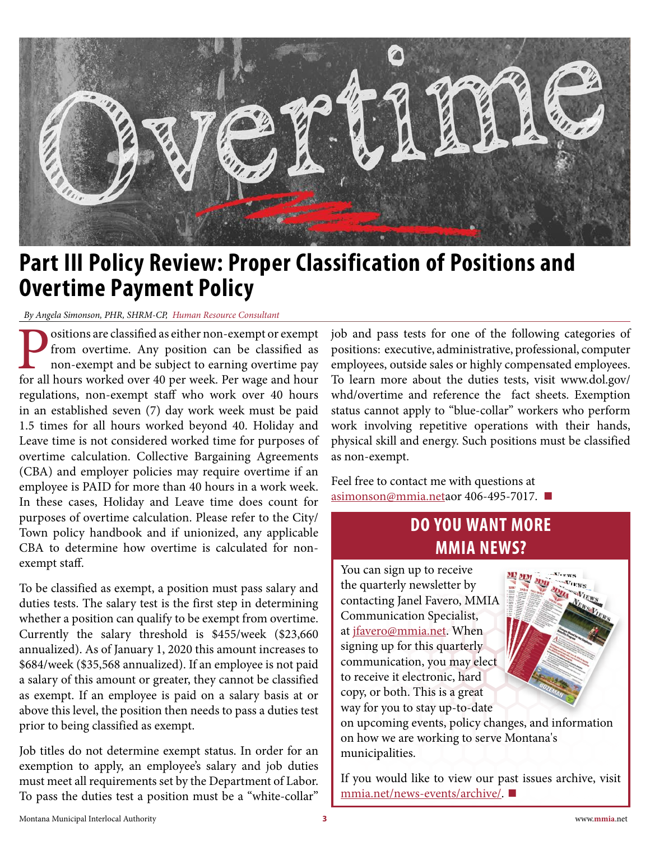<span id="page-2-0"></span>

### **Part III Policy Review: Proper Classification of Positions and Overtime Payment Policy**

*By Angela Simonson, PHR, SHRM-CP, Human Resource Consultant*

**Positions are classified as either non-exempt or exempt from overtime.** Any position can be classified as non-exempt and be subject to earning overtime pay for all hours worked over 40 per week. Per wage and hour from overtime. Any position can be classified as non-exempt and be subject to earning overtime pay regulations, non-exempt staff who work over 40 hours in an established seven (7) day work week must be paid 1.5 times for all hours worked beyond 40. Holiday and Leave time is not considered worked time for purposes of overtime calculation. Collective Bargaining Agreements (CBA) and employer policies may require overtime if an employee is PAID for more than 40 hours in a work week. In these cases, Holiday and Leave time does count for purposes of overtime calculation. Please refer to the City/ Town policy handbook and if unionized, any applicable CBA to determine how overtime is calculated for nonexempt staff.

To be classified as exempt, a position must pass salary and duties tests. The salary test is the first step in determining whether a position can qualify to be exempt from overtime. Currently the salary threshold is \$455/week (\$23,660 annualized). As of January 1, 2020 this amount increases to \$684/week (\$35,568 annualized). If an employee is not paid a salary of this amount or greater, they cannot be classified as exempt. If an employee is paid on a salary basis at or above this level, the position then needs to pass a duties test prior to being classified as exempt.

Job titles do not determine exempt status. In order for an exemption to apply, an employee's salary and job duties must meet all requirements set by the Department of Labor. To pass the duties test a position must be a "white-collar"

job and pass tests for one of the following categories of positions: executive, administrative, professional, computer employees, outside sales or highly compensated employees. To learn more about the duties tests, visit www.dol.gov/ whd/overtime and reference the fact sheets. Exemption status cannot apply to "blue-collar" workers who perform work involving repetitive operations with their hands, physical skill and energy. Such positions must be classified as non-exempt.

[Feel free to contact me](mailto:asimonson%40mmia.net%20?subject=) with questions at asimonson@mmia.netaor 406-495-7017. **■**

### **DO YOU WANT MORE MMIA NEWS?**

You can sign up to receive the quarterly newsletter by contacting Janel Favero, MMIA Communication Specialist, at [jfavero@mmia.net](mailto:jfavero%40mmia.net?subject=). When signing up for this quarterly communication, you may elect to receive it electronic, hard copy, or both. This is a great way for you to stay up-to-date

on upcoming events, policy changes, and information on how we are working to serve Montana's municipalities.

[If you would like to view our p](https://www.mmia.net/news-events/archive/)ast issues archive, visit mmia.net/news-events/archive/. **■**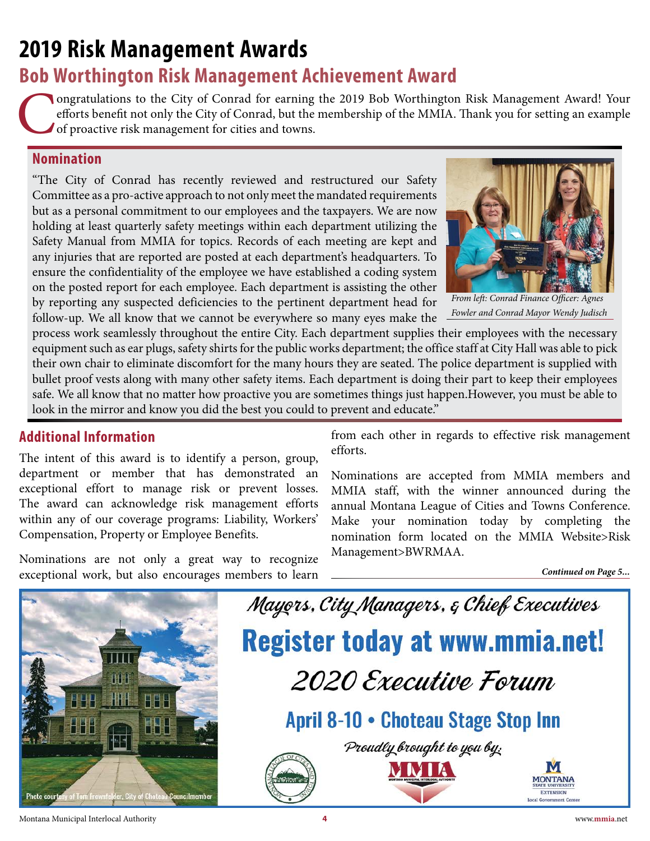## <span id="page-3-0"></span>**2019 Risk Management Awards**

### **Bob Worthington Risk Management Achievement Award**

ongratulations to the City of Conrad for earning the 2019 Bob Worthington Risk Management Award! Your efforts benefit not only the City of Conrad, but the membership of the MMIA. Thank you for setting an example of proactive risk management for cities and towns.

#### **Nomination**

"The City of Conrad has recently reviewed and restructured our Safety Committee as a pro-active approach to not only meet the mandated requirements but as a personal commitment to our employees and the taxpayers. We are now holding at least quarterly safety meetings within each department utilizing the Safety Manual from MMIA for topics. Records of each meeting are kept and any injuries that are reported are posted at each department's headquarters. To ensure the confidentiality of the employee we have established a coding system on the posted report for each employee. Each department is assisting the other by reporting any suspected deficiencies to the pertinent department head for follow-up. We all know that we cannot be everywhere so many eyes make the



*From left: Conrad Finance Officer: Agnes Fowler and Conrad Mayor Wendy Judisch*

process work seamlessly throughout the entire City. Each department supplies their employees with the necessary equipment such as ear plugs, safety shirts for the public works department; the office staff at City Hall was able to pick their own chair to eliminate discomfort for the many hours they are seated. The police department is supplied with bullet proof vests along with many other safety items. Each department is doing their part to keep their employees safe. We all know that no matter how proactive you are sometimes things just happen.However, you must be able to look in the mirror and know you did the best you could to prevent and educate."

#### **Additional Information**

The intent of this award is to identify a person, group, department or member that has demonstrated an exceptional effort to manage risk or prevent losses. The award can acknowledge risk management efforts within any of our coverage programs: Liability, Workers' Compensation, Property or Employee Benefits.

Nominations are not only a great way to recognize exceptional work, but also encourages members to learn from each other in regards to effective risk management efforts.

Nominations are accepted from MMIA members and MMIA staff, with the winner announced during the annual Montana League of Cities and Towns Conference. Make your nomination today by completing the nomination form located on the MMIA Website>Risk Management>BWRMAA.

*Continued on Page 5...*

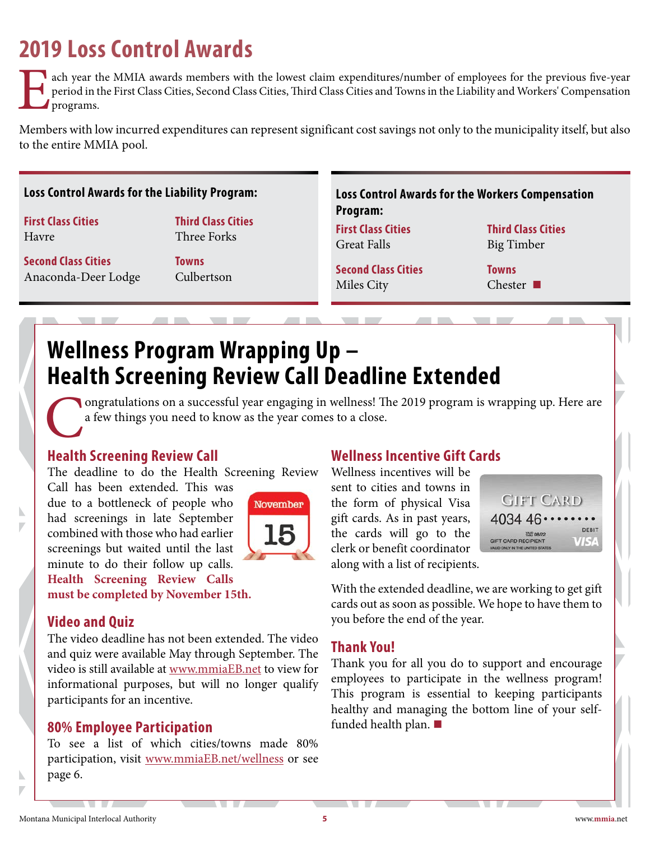### <span id="page-4-0"></span>**2019 Loss Control Awards**

**Lach year the MMIA awards members with the lowest claim expenditures/number of employees for the previous five-year** period in the First Class Cities, Second Class Cities, Third Class Cities and Towns in the Liability and Workers' Compensation programs.

Members with low incurred expenditures can represent significant cost savings not only to the municipality itself, but also to the entire MMIA pool.

#### **Loss Control Awards for the Liability Program: Loss Control Awards for the Workers Compensation**

**First Class Cities** Havre

**Second Class Cities** Anaconda-Deer Lodge

**Towns** Culbertson

**Third Class Cities** Three Forks

**Program:**

**First Class Cities** Great Falls

**Second Class Cities** Miles City

**Third Class Cities** Big Timber

**Towns** Chester **■**

### **Wellness Program Wrapping Up – Health Screening Review Call Deadline Extended**

ongratulations on a successful year engaging in wellness! The 2019 program is wrapping up. Here are a few things you need to know as the year comes to a close.

#### **Health Screening Review Call**

The deadline to do the Health Screening Review

Call has been extended. This was due to a bottleneck of people who had screenings in late September combined with those who had earlier screenings but waited until the last minute to do their follow up calls. **Health Screening Review Calls must be completed by November 15th.**



**Video and Quiz**

N

N

The video deadline has not been extended. The video and quiz were available May through September. The video is still available at [www.mmiaEB.net](https://www.mmiaEB.net) to view for informational purposes, but will no longer qualify participants for an incentive.

#### **80% Employee Participation**

To see a list of which cities/towns made 80% participation, visit [www.mmiaEB.net/wellness](https://www.mmiaEB.net/wellness) or see page 6.

#### **Wellness Incentive Gift Cards**

Wellness incentives will be sent to cities and towns in the form of physical Visa gift cards. As in past years, the cards will go to the clerk or benefit coordinator along with a list of recipients.



With the extended deadline, we are working to get gift cards out as soon as possible. We hope to have them to you before the end of the year.

#### **Thank You!**

Thank you for all you do to support and encourage employees to participate in the wellness program! This program is essential to keeping participants healthy and managing the bottom line of your selffunded health plan. **■**

 $\sqrt{1+|B|}$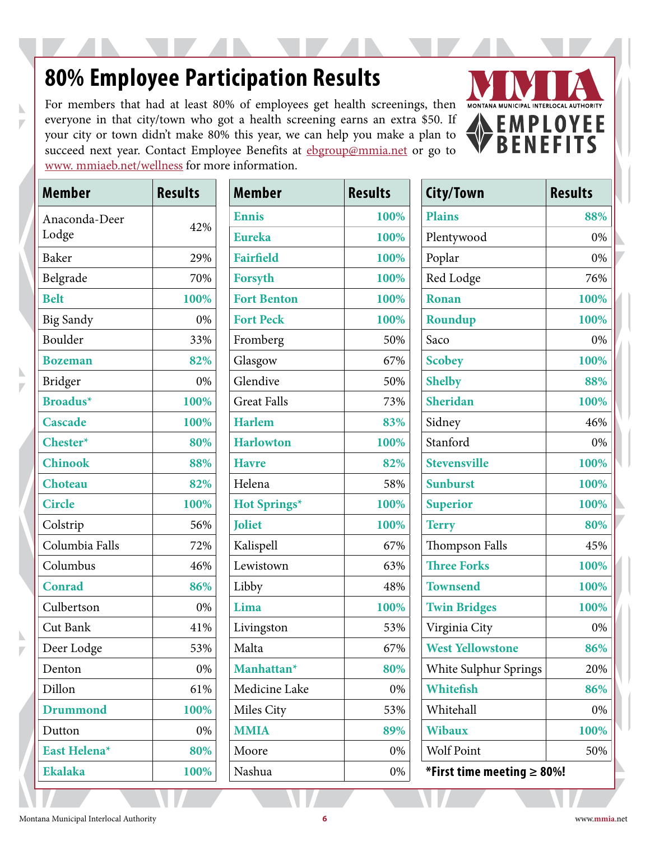### <span id="page-5-0"></span>**80% Employee Participation Results**

For members that had at least 80% of employees get health screenings, then everyone in that city/town who got a health screening earns an extra \$50. If your city or town didn't make 80% this year, we can help you make a plan to succeed next year. Contact Employee Benefits at [ebgroup@mmia.net](mailto:ebgroup%40mmia.net?subject=) or go to [www. mmiaeb.net/wellness](http://www. mmiaeb.net/wellness) for more information.



| Member                 | <b>Results</b> |
|------------------------|----------------|
| Anaconda-Deer<br>Lodge | 42%            |
| <b>Baker</b>           | 29%            |
| Belgrade               | 70%            |
| <b>Belt</b>            | 100%           |
| Big Sandy              | 0%             |
| Boulder                | 33%            |
| <b>Bozeman</b>         | 82%            |
| Bridger                | 0%             |
| <b>Broadus*</b>        | 100%           |
| <b>Cascade</b>         | 100%           |
| Chester*               | 80%            |
| <b>Chinook</b>         | 88%            |
| Choteau                | 82%            |
| <b>Circle</b>          | 100%           |
| Colstrip               | 56%            |
| Columbia Falls         | 72%            |
| Columbus               | 46%            |
| <b>Conrad</b>          | 86%            |
| Culbertson             | 0%             |
| Cut Bank               | 41%            |
| Deer Lodge             | 53%            |
| Denton                 | 0%             |
| Dillon                 | 61%            |
| Drummond               | 100%           |
| Dutton                 | 0%             |
| East Helena*           | 80%            |
| <b>Ekalaka</b>         | 100%           |

N

 $\overline{V}$ 

N D

ħ Γ

| Member          | <b>Results</b> | <b>Member</b>          | <b>Results</b> | City/Town                        | <b>Results</b> |
|-----------------|----------------|------------------------|----------------|----------------------------------|----------------|
| Anaconda-Deer   |                | <b>Ennis</b>           | 100%           | <b>Plains</b>                    | 88%            |
| 42%<br>Lodge    | <b>Eureka</b>  | 100%                   | Plentywood     | 0%                               |                |
| Baker           | 29%            | <b>Fairfield</b>       | 100%           | Poplar                           | 0%             |
| Belgrade        | 70%            | Forsyth                | 100%           | Red Lodge                        | 76%            |
| <b>Belt</b>     | 100%           | <b>Fort Benton</b>     | 100%           | <b>Ronan</b>                     | 100%           |
| Big Sandy       | 0%             | <b>Fort Peck</b>       | 100%           | Roundup                          | 100%           |
| Boulder         | 33%            | Fromberg               | 50%            | Saco                             | 0%             |
| <b>Bozeman</b>  | 82%            | Glasgow                | 67%            | <b>Scobey</b>                    | 100%           |
| Bridger         | 0%             | Glendive               | 50%            | <b>Shelby</b>                    | 88%            |
| <b>Broadus*</b> | 100%           | <b>Great Falls</b>     | 73%            | Sheridan                         | 100%           |
| Cascade         | 100%           | <b>Harlem</b>          | 83%            | Sidney                           | 46%            |
| Chester*        | 80%            | <b>Harlowton</b>       | 100%           | Stanford                         | 0%             |
| <b>Chinook</b>  | 88%            | <b>Havre</b>           | 82%            | <b>Stevensville</b>              | 100%           |
| <b>Choteau</b>  | 82%            | Helena                 | 58%            | <b>Sunburst</b>                  | 100%           |
| <b>Circle</b>   | 100%           | Hot Springs*           | 100%           | <b>Superior</b>                  | 100%           |
| Colstrip        | 56%            | <b>Joliet</b>          | 100%           | <b>Terry</b>                     | 80%            |
| Columbia Falls  | 72%            | Kalispell              | 67%            | Thompson Falls                   | 45%            |
| Columbus        | 46%            | Lewistown              | 63%            | <b>Three Forks</b>               | 100%           |
| Conrad          | 86%            | Libby                  | 48%            | <b>Townsend</b>                  | 100%           |
| Culbertson      | 0%             | Lima                   | 100%           | <b>Twin Bridges</b>              | 100%           |
| Cut Bank        | 41%            | Livingston             | 53%            | Virginia City                    | 0%             |
| Deer Lodge      | 53%            | Malta                  | 67%            | <b>West Yellowstone</b>          | 86%            |
| Denton          | 0%             | Manhattan <sup>*</sup> | 80%            | White Sulphur Springs            | 20%            |
| Dillon          | 61%            | Medicine Lake          | 0%             | Whitefish                        | 86%            |
| <b>Drummond</b> | 100%           | Miles City             | 53%            | Whitehall                        | 0%             |
| Dutton          | 0%             | <b>MMIA</b>            | 89%            | <b>Wibaux</b>                    | 100%           |
| East Helena*    | 80%            | Moore                  | 0%             | <b>Wolf Point</b>                | 50%            |
| <b>Ekalaka</b>  | 100%           | Nashua                 | 0%             | *First time meeting $\geq 80\%!$ |                |
|                 |                |                        |                |                                  |                |

| Member                 | <b>Results</b> | City/Town                        | <b>Results</b> |  |  |
|------------------------|----------------|----------------------------------|----------------|--|--|
| <b>Ennis</b>           | 100%           | <b>Plains</b>                    | 88%            |  |  |
| <b>Eureka</b>          | 100%           | Plentywood                       | 0%             |  |  |
| <b>Fairfield</b>       | 100%           | Poplar                           | 0%             |  |  |
| <b>Forsyth</b>         | 100%           | Red Lodge                        | 76%            |  |  |
| <b>Fort Benton</b>     | 100%           | <b>Ronan</b>                     | 100%           |  |  |
| <b>Fort Peck</b>       | 100%           | Roundup                          | 100%           |  |  |
| Fromberg               | 50%            | Saco                             | 0%             |  |  |
| Glasgow                | 67%            | <b>Scobey</b>                    | 100%           |  |  |
| Glendive               | 50%            | <b>Shelby</b>                    | 88%            |  |  |
| <b>Great Falls</b>     | 73%            | Sheridan                         | 100%           |  |  |
| <b>Harlem</b>          | 83%            | Sidney                           | 46%            |  |  |
| <b>Harlowton</b>       | 100%           | Stanford                         | 0%             |  |  |
| <b>Havre</b>           | 82%            | <b>Stevensville</b>              | 100%           |  |  |
| Helena                 | 58%            | <b>Sunburst</b>                  | 100%           |  |  |
| Hot Springs*           | 100%           | <b>Superior</b>                  | 100%           |  |  |
| <b>Joliet</b>          | 100%           | <b>Terry</b>                     | 80%            |  |  |
| Kalispell              | 67%            | <b>Thompson Falls</b>            | 45%            |  |  |
| Lewistown              | 63%            | <b>Three Forks</b>               | 100%           |  |  |
| Libby                  | 48%            | <b>Townsend</b>                  | 100%           |  |  |
| Lima                   | 100%           | <b>Twin Bridges</b>              | 100%           |  |  |
| Livingston             | 53%            | Virginia City                    | 0%             |  |  |
| Malta                  | 67%            | <b>West Yellowstone</b>          | 86%            |  |  |
| Manhattan <sup>*</sup> | 80%            | White Sulphur Springs            | 20%            |  |  |
| Medicine Lake          | 0%             | <b>Whitefish</b>                 | 86%            |  |  |
| Miles City             | 53%            | Whitehall                        | 0%             |  |  |
| <b>MMIA</b>            | 89%            | <b>Wibaux</b>                    | 100%           |  |  |
| Moore                  | 0%             | <b>Wolf Point</b><br>50%         |                |  |  |
| Nashua                 | 0%             | *First time meeting $\geq 80\%!$ |                |  |  |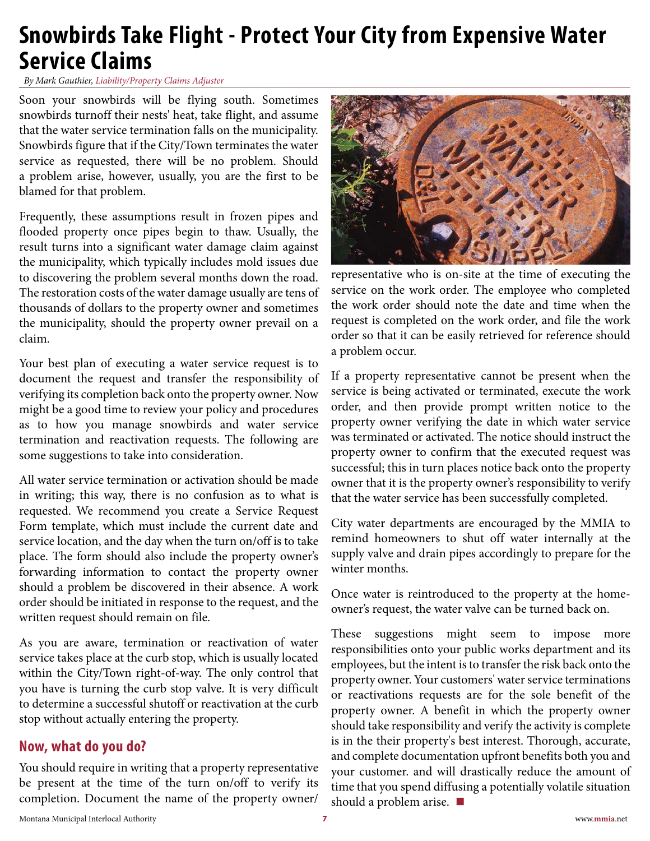### <span id="page-6-0"></span>**Snowbirds Take Flight - Protect Your City from Expensive Water Service Claims**

*By Mark Gauthier, Liability/Property Claims Adjuster*

Soon your snowbirds will be flying south. Sometimes snowbirds turnoff their nests' heat, take flight, and assume that the water service termination falls on the municipality. Snowbirds figure that if the City/Town terminates the water service as requested, there will be no problem. Should a problem arise, however, usually, you are the first to be blamed for that problem.

Frequently, these assumptions result in frozen pipes and flooded property once pipes begin to thaw. Usually, the result turns into a significant water damage claim against the municipality, which typically includes mold issues due to discovering the problem several months down the road. The restoration costs of the water damage usually are tens of thousands of dollars to the property owner and sometimes the municipality, should the property owner prevail on a claim.

Your best plan of executing a water service request is to document the request and transfer the responsibility of verifying its completion back onto the property owner. Now might be a good time to review your policy and procedures as to how you manage snowbirds and water service termination and reactivation requests. The following are some suggestions to take into consideration.

All water service termination or activation should be made in writing; this way, there is no confusion as to what is requested. We recommend you create a Service Request Form template, which must include the current date and service location, and the day when the turn on/off is to take place. The form should also include the property owner's forwarding information to contact the property owner should a problem be discovered in their absence. A work order should be initiated in response to the request, and the written request should remain on file.

As you are aware, termination or reactivation of water service takes place at the curb stop, which is usually located within the City/Town right-of-way. The only control that you have is turning the curb stop valve. It is very difficult to determine a successful shutoff or reactivation at the curb stop without actually entering the property.

#### **Now, what do you do?**

You should require in writing that a property representative be present at the time of the turn on/off to verify its completion. Document the name of the property owner/



representative who is on-site at the time of executing the service on the work order. The employee who completed the work order should note the date and time when the request is completed on the work order, and file the work order so that it can be easily retrieved for reference should a problem occur.

If a property representative cannot be present when the service is being activated or terminated, execute the work order, and then provide prompt written notice to the property owner verifying the date in which water service was terminated or activated. The notice should instruct the property owner to confirm that the executed request was successful; this in turn places notice back onto the property owner that it is the property owner's responsibility to verify that the water service has been successfully completed.

City water departments are encouraged by the MMIA to remind homeowners to shut off water internally at the supply valve and drain pipes accordingly to prepare for the winter months.

Once water is reintroduced to the property at the homeowner's request, the water valve can be turned back on.

These suggestions might seem to impose more responsibilities onto your public works department and its employees, but the intent is to transfer the risk back onto the property owner. Your customers' water service terminations or reactivations requests are for the sole benefit of the property owner. A benefit in which the property owner should take responsibility and verify the activity is complete is in the their property's best interest. Thorough, accurate, and complete documentation upfront benefits both you and your customer. and will drastically reduce the amount of time that you spend diffusing a potentially volatile situation should a problem arise. **■**